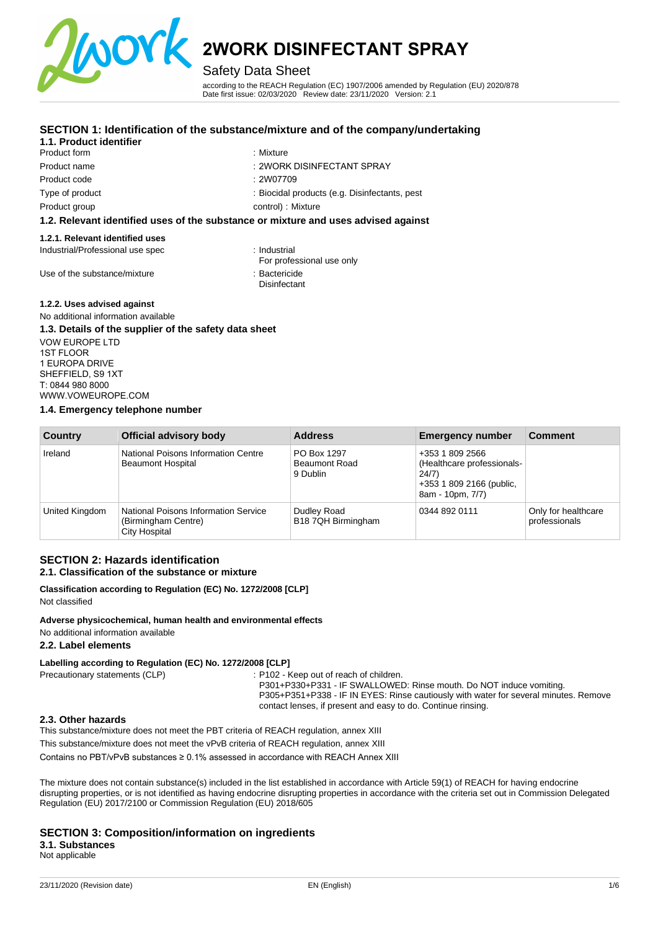

## Safety Data Sheet

according to the REACH Regulation (EC) 1907/2006 amended by Regulation (EU) 2020/878 Date first issue: 02/03/2020 Review date: 23/11/2020 Version: 2.1

## **SECTION 1: Identification of the substance/mixture and of the company/undertaking**

#### **1.1. Product identifier**

Product form Product name Product code Type of product Product group

## : Mixture

- : 2WORK DISINFECTANT SPRAY
- : 2W07709
- : Biocidal products (e.g. Disinfectants, pest
- control) : Mixture

#### **1.2. Relevant identified uses of the substance or mixture and uses advised against**

#### **1.2.1. Relevant identified uses**

Industrial/Professional use spec : Industrial

For professional use only

Use of the substance/mixture in the substance in the set of the substance in the set of the substance in the substance in the set of the substance in the substance in the set of the set of the set of the set of the set of

**Disinfectant** 

# **1.2.2. Uses advised against**

No additional information available **1.3. Details of the supplier of the safety data sheet**  VOW EUROPE LTD 1ST FLOOR 1 EUROPA DRIVE SHEFFIELD, S9 1XT T: 0844 980 8000 WWW.VOWEUROPE.COM

### **[1.4. Emergency telepho](mailto:info@cloverchemicals.com)[ne number](http://www.cloverchemicals.com/)**

| <b>Country</b> | <b>Official advisory body</b>                                                | <b>Address</b>                                  | <b>Emergency number</b>                                                                                | <b>Comment</b>                       |
|----------------|------------------------------------------------------------------------------|-------------------------------------------------|--------------------------------------------------------------------------------------------------------|--------------------------------------|
| Ireland        | National Poisons Information Centre<br><b>Beaumont Hospital</b>              | PO Box 1297<br><b>Beaumont Road</b><br>9 Dublin | +353 1 809 2566<br>(Healthcare professionals-<br>24/7)<br>+353 1 809 2166 (public,<br>8am - 10pm, 7/7) |                                      |
| United Kingdom | National Poisons Information Service<br>(Birmingham Centre)<br>City Hospital | Dudley Road<br>B18 7QH Birmingham               | 0344 892 0111                                                                                          | Only for healthcare<br>professionals |

#### **SECTION 2: Hazards identification 2.1. Classification of the substance or mixture**

**Classification according to Regulation (EC) No. 1272/2008 [CLP]** Not classified

#### **Adverse physicochemical, human health and environmental effects**

No additional information available

#### **2.2. Label elements**

**Labelling according to Regulation (EC) No. 1272/2008 [CLP]**

Precautionary statements (CLP) : P102 - Keep out of reach of children.

P301+P330+P331 - IF SWALLOWED: Rinse mouth. Do NOT induce vomiting. P305+P351+P338 - IF IN EYES: Rinse cautiously with water for several minutes. Remove contact lenses, if present and easy to do. Continue rinsing.

### **2.3. Other hazards**

This substance/mixture does not meet the PBT criteria of REACH regulation, annex XIII

This substance/mixture does not meet the vPvB criteria of REACH regulation, annex XIII

Contains no PBT/vPvB substances ≥ 0.1% assessed in accordance with REACH Annex XIII

The mixture does not contain substance(s) included in the list established in accordance with Article 59(1) of REACH for having endocrine disrupting properties, or is not identified as having endocrine disrupting properties in accordance with the criteria set out in Commission Delegated Regulation (EU) 2017/2100 or Commission Regulation (EU) 2018/605

#### **SECTION 3: Composition/information on ingredients 3.1. Substances**

Not applicable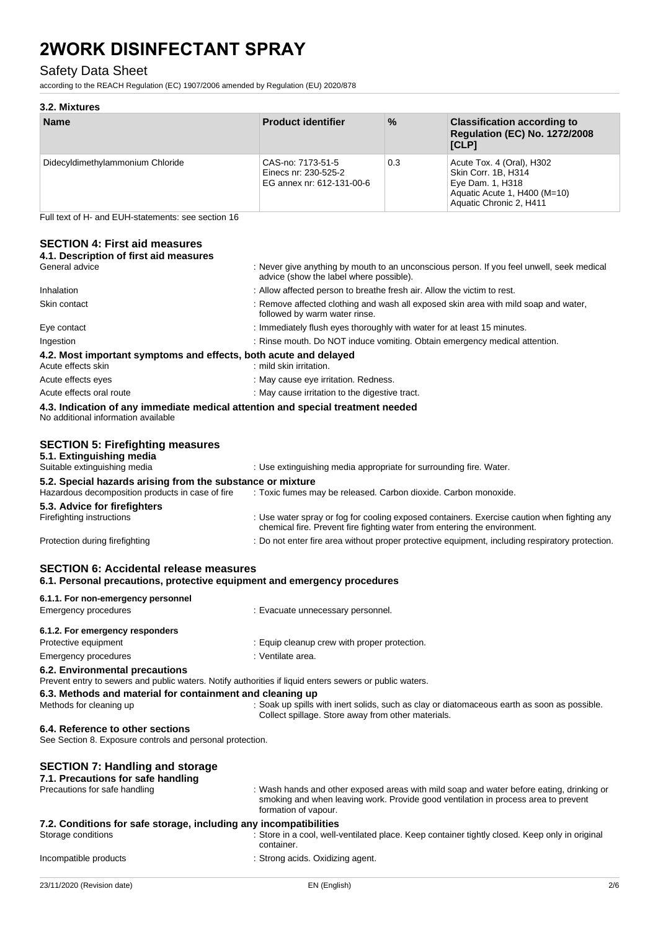# Safety Data Sheet

according to the REACH Regulation (EC) 1907/2006 amended by Regulation (EU) 2020/878

#### **3.2. Mixtures Name Product identifier 1989 Classification according to <b>Product identifier 1989** Classification according to **Regulation (EC) No. 1272/2008 [CLP]** Didecyldimethylammonium Chloride CAS-no: 7173-51-5 Einecs nr: 230-525-2 EG annex nr: 612-131-00-6 0.3 Acute Tox. 4 (Oral), H302 Skin Corr. 1B, H314 Eye Dam. 1, H318 Aquatic Acute 1, H400 (M=10) Aquatic Chronic 2, H411

Full text of H- and EUH-statements: see section 16

# **SECTION 4: First aid measures**

| -911911 7.11131 414 111                                                                                                                   |                                                                                                                                                                                                        |
|-------------------------------------------------------------------------------------------------------------------------------------------|--------------------------------------------------------------------------------------------------------------------------------------------------------------------------------------------------------|
| 4.1. Description of first aid measures<br>General advice                                                                                  | : Never give anything by mouth to an unconscious person. If you feel unwell, seek medical                                                                                                              |
|                                                                                                                                           | advice (show the label where possible).                                                                                                                                                                |
| Inhalation                                                                                                                                | : Allow affected person to breathe fresh air. Allow the victim to rest.                                                                                                                                |
| Skin contact                                                                                                                              | : Remove affected clothing and wash all exposed skin area with mild soap and water,<br>followed by warm water rinse.                                                                                   |
| Eye contact                                                                                                                               | : Immediately flush eyes thoroughly with water for at least 15 minutes.                                                                                                                                |
| Ingestion                                                                                                                                 | : Rinse mouth. Do NOT induce vomiting. Obtain emergency medical attention.                                                                                                                             |
| 4.2. Most important symptoms and effects, both acute and delayed<br>Acute effects skin                                                    | : mild skin irritation.                                                                                                                                                                                |
| Acute effects eyes                                                                                                                        | : May cause eye irritation. Redness.                                                                                                                                                                   |
| Acute effects oral route                                                                                                                  | : May cause irritation to the digestive tract.                                                                                                                                                         |
| 4.3. Indication of any immediate medical attention and special treatment needed<br>No additional information available                    |                                                                                                                                                                                                        |
| <b>SECTION 5: Firefighting measures</b><br>5.1. Extinguishing media<br>Suitable extinguishing media                                       | : Use extinguishing media appropriate for surrounding fire. Water.                                                                                                                                     |
| 5.2. Special hazards arising from the substance or mixture<br>Hazardous decomposition products in case of fire                            | : Toxic fumes may be released. Carbon dioxide. Carbon monoxide.                                                                                                                                        |
| 5.3. Advice for firefighters                                                                                                              |                                                                                                                                                                                                        |
| Firefighting instructions                                                                                                                 | : Use water spray or fog for cooling exposed containers. Exercise caution when fighting any<br>chemical fire. Prevent fire fighting water from entering the environment.                               |
| Protection during firefighting                                                                                                            | : Do not enter fire area without proper protective equipment, including respiratory protection.                                                                                                        |
| <b>SECTION 6: Accidental release measures</b><br>6.1. Personal precautions, protective equipment and emergency procedures                 |                                                                                                                                                                                                        |
| 6.1.1. For non-emergency personnel                                                                                                        |                                                                                                                                                                                                        |
| <b>Emergency procedures</b>                                                                                                               | : Evacuate unnecessary personnel.                                                                                                                                                                      |
| 6.1.2. For emergency responders                                                                                                           |                                                                                                                                                                                                        |
| Protective equipment                                                                                                                      | : Equip cleanup crew with proper protection.                                                                                                                                                           |
| Emergency procedures                                                                                                                      | : Ventilate area.                                                                                                                                                                                      |
| 6.2. Environmental precautions<br>Prevent entry to sewers and public waters. Notify authorities if liquid enters sewers or public waters. |                                                                                                                                                                                                        |
| 6.3. Methods and material for containment and cleaning up                                                                                 |                                                                                                                                                                                                        |
| Methods for cleaning up                                                                                                                   | : Soak up spills with inert solids, such as clay or diatomaceous earth as soon as possible.<br>Collect spillage. Store away from other materials.                                                      |
| 6.4. Reference to other sections<br>See Section 8. Exposure controls and personal protection.                                             |                                                                                                                                                                                                        |
|                                                                                                                                           |                                                                                                                                                                                                        |
| <b>SECTION 7: Handling and storage</b><br>7.1. Precautions for safe handling                                                              |                                                                                                                                                                                                        |
| Precautions for safe handling                                                                                                             | : Wash hands and other exposed areas with mild soap and water before eating, drinking or<br>smoking and when leaving work. Provide good ventilation in process area to prevent<br>formation of vapour. |
| 7.2. Conditions for safe storage, including any incompatibilities<br>Storage conditions                                                   | Store in a cool, well-ventilated place. Keep container tightly closed. Keep only in original<br>container.                                                                                             |
| Incompatible products                                                                                                                     | : Strong acids. Oxidizing agent.                                                                                                                                                                       |
|                                                                                                                                           |                                                                                                                                                                                                        |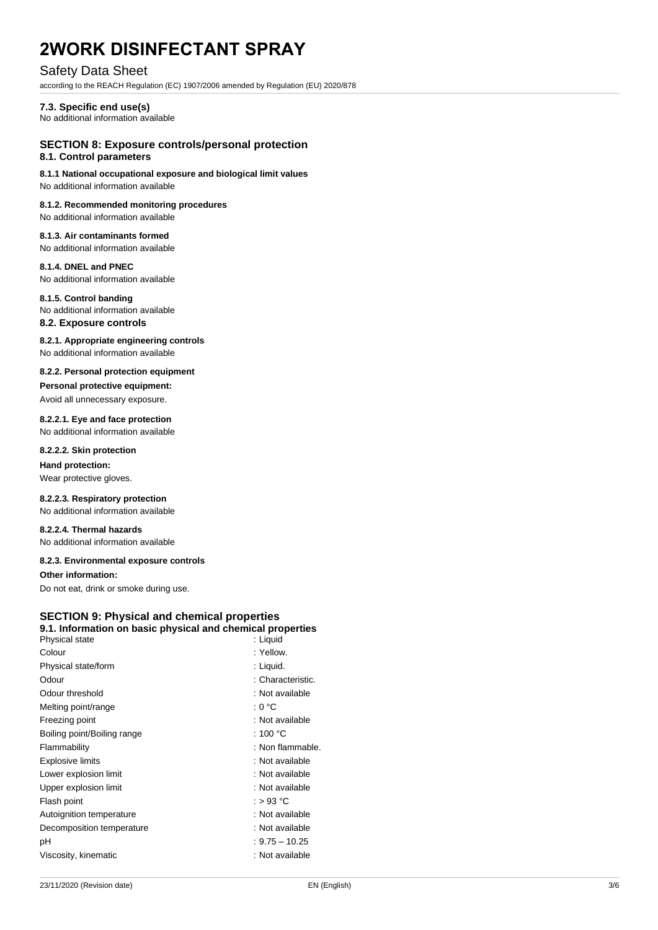## Safety Data Sheet

according to the REACH Regulation (EC) 1907/2006 amended by Regulation (EU) 2020/878

#### **7.3. Specific end use(s)**

No additional information available

#### **SECTION 8: Exposure controls/personal protection 8.1. Control parameters**

### **8.1.1 National occupational exposure and biological limit values**

No additional information available

### **8.1.2. Recommended monitoring procedures**

No additional information available

## **8.1.3. Air contaminants formed**

No additional information available

#### **8.1.4. DNEL and PNEC**

No additional information available

#### **8.1.5. Control banding**

No additional information available

# **8.2. Exposure controls**

**8.2.1. Appropriate engineering controls** No additional information available

# **8.2.2. Personal protection equipment**

**Personal protective equipment:**

### Avoid all unnecessary exposure.

**8.2.2.1. Eye and face protection** No additional information available

#### **8.2.2.2. Skin protection**

**Hand protection:**

# Wear protective gloves.

**8.2.2.3. Respiratory protection** No additional information available

### **8.2.2.4. Thermal hazards**

No additional information available

#### **8.2.3. Environmental exposure controls**

**Other information:**

Do not eat, drink or smoke during use.

## **SECTION 9: Physical and chemical properties**

| 9.1. Information on basic physical and chemical properties |                    |
|------------------------------------------------------------|--------------------|
| Physical state                                             | : Liquid           |
| Colour                                                     | : Yellow.          |
| Physical state/form                                        | : Liquid.          |
| Odour                                                      | : Characteristic.  |
| Odour threshold                                            | : Not available    |
| Melting point/range                                        | : 0 °C             |
| Freezing point                                             | : Not available    |
| Boiling point/Boiling range                                | : 100 $^{\circ}$ C |
| Flammability                                               | : Non flammable.   |
| <b>Explosive limits</b>                                    | : Not available    |
| Lower explosion limit                                      | : Not available    |
| Upper explosion limit                                      | : Not available    |
| Flash point                                                | : > 93 °C          |
| Autoignition temperature                                   | : Not available    |
| Decomposition temperature                                  | : Not available    |
| рH                                                         | $: 9.75 - 10.25$   |
| Viscosity, kinematic                                       | : Not available    |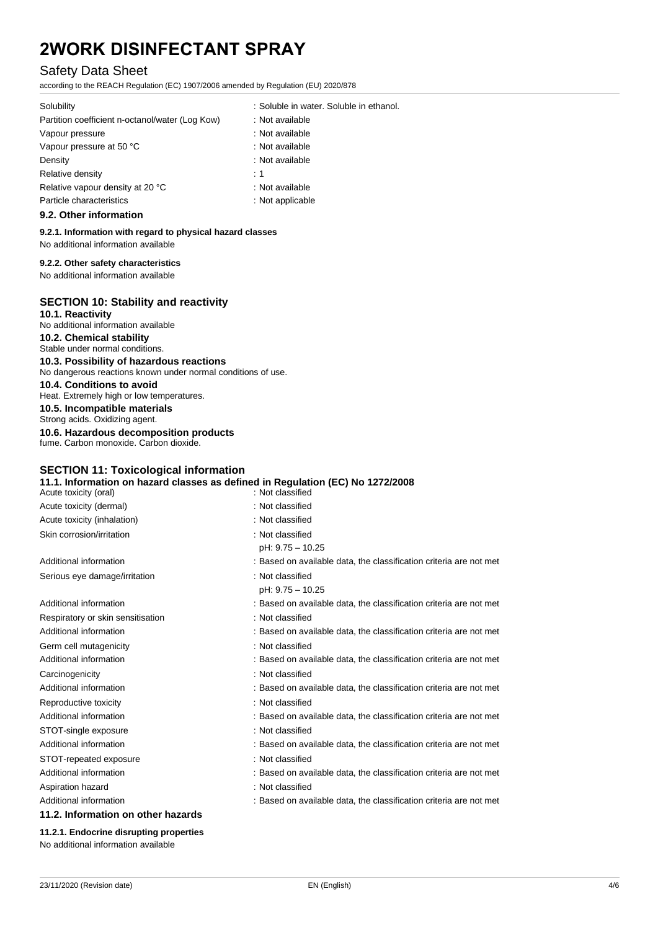# Safety Data Sheet

according to the REACH Regulation (EC) 1907/2006 amended by Regulation (EU) 2020/878

| Solubility                                      | : Soluble in water. Soluble in ethanol. |
|-------------------------------------------------|-----------------------------------------|
| Partition coefficient n-octanol/water (Log Kow) | : Not available                         |
| Vapour pressure                                 | : Not available                         |
| Vapour pressure at 50 °C                        | : Not available                         |
| Density                                         | : Not available                         |
| Relative density                                | :1                                      |
| Relative vapour density at 20 °C                | : Not available                         |
| Particle characteristics                        | : Not applicable                        |
|                                                 |                                         |

## **9.2. Other information**

**9.2.1. Information with regard to physical hazard classes** No additional information available

#### **9.2.2. Other safety characteristics**

No additional information available

#### **SECTION 10: Stability and reactivity**

**10.1. Reactivity** No additional information available **10.2. Chemical stability** Stable under normal conditions. **10.3. Possibility of hazardous reactions** No dangerous reactions known under normal conditions of use. **10.4. Conditions to avoid** Heat. Extremely high or low temperatures. **10.5. Incompatible materials** Strong acids. Oxidizing agent. **10.6. Hazardous decomposition products**

fume. Carbon monoxide. Carbon dioxide.

## **SECTION 11: Toxicological information 11.1. Information on hazard classes as defined in Regulation (EC) No 1272/2008** Acute toxicity (oral) Acute toxicity (dermal) **Example 20** Acute toxicity (dermal) Acute toxicity (inhalation) **individual in the Classified** in Not classified Skin corrosion/irritation in the set of the set of the set of the set of the set of the set of the set of the set of the set of the set of the set of the set of the set of the set of the set of the set of the set of the se pH: 9.75 – 10.25 Additional information : Based on available data, the classification criteria are not met Serious eye damage/irritation : Not classified pH: 9.75 – 10.25 Additional information : Based on available data, the classification criteria are not met Respiratory or skin sensitisation : Not classified Additional information  $\qquad \qquad :$  Based on available data, the classification criteria are not met Germ cell mutagenicity **EXECUTE:** Not classified Additional information : Based on available data, the classification criteria are not met Carcinogenicity **Carcinogenicity Carcinogenicity Carcinogenicity Carcinogenicity** Additional information : Based on available data, the classification criteria are not met Reproductive toxicity in the set of the set of the Reproductive toxicity in the set of the set of the set of the set of the set of the set of the set of the set of the set of the set of the set of the set of the set of the Additional information : Based on available data, the classification criteria are not met STOT-single exposure in the state of the state of the STOT-single exposure Additional information : Based on available data, the classification criteria are not met STOT-repeated exposure : Not classified Additional information : Based on available data, the classification criteria are not met Aspiration hazard **in the set of the set of the set of the set of the set of the set of the set of the set of the set of the set of the set of the set of the set of the set of the set of the set of the set of the set of th** Additional information : Based on available data, the classification criteria are not met

#### **11.2. Information on other hazards**

**11.2.1. Endocrine disrupting properties** No additional information available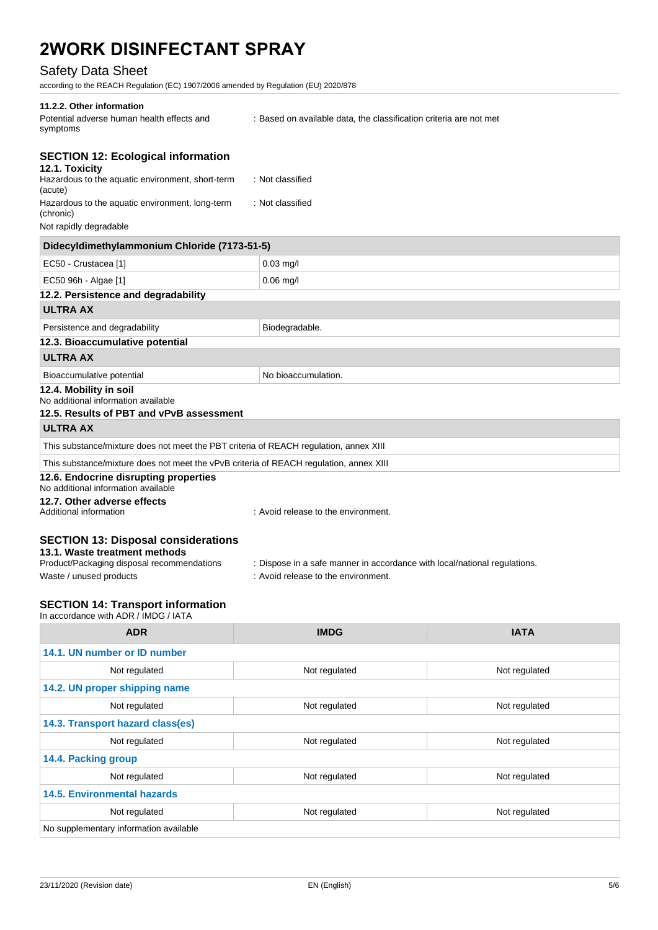# Safety Data Sheet

according to the REACH Regulation (EC) 1907/2006 amended by Regulation (EU) 2020/878

#### **11.2.2. Other information**

Potential adverse human health effects and symptoms : Based on available data, the classification criteria are not met

# **SECTION 12: Ecological information**

| 12.1. Toxicity<br>Hazardous to the aquatic environment, short-term<br>(acute)                             | : Not classified                    |
|-----------------------------------------------------------------------------------------------------------|-------------------------------------|
| Hazardous to the aquatic environment, long-term<br>(chronic)                                              | : Not classified                    |
| Not rapidly degradable                                                                                    |                                     |
| Didecyldimethylammonium Chloride (7173-51-5)                                                              |                                     |
| EC50 - Crustacea [1]                                                                                      | $0.03$ mg/l                         |
| EC50 96h - Algae [1]                                                                                      | $0.06$ mg/l                         |
| 12.2. Persistence and degradability                                                                       |                                     |
| <b>ULTRA AX</b>                                                                                           |                                     |
| Persistence and degradability                                                                             | Biodegradable.                      |
| 12.3. Bioaccumulative potential                                                                           |                                     |
| <b>ULTRA AX</b>                                                                                           |                                     |
| Bioaccumulative potential                                                                                 | No bioaccumulation.                 |
| 12.4. Mobility in soil<br>No additional information available<br>12.5. Results of PBT and vPvB assessment |                                     |
| <b>ULTRA AX</b>                                                                                           |                                     |
| This substance/mixture does not meet the PBT criteria of REACH regulation, annex XIII                     |                                     |
| This substance/mixture does not meet the vPvB criteria of REACH regulation, annex XIII                    |                                     |
| 12.6. Endocrine disrupting properties<br>No additional information available                              |                                     |
| 12.7. Other adverse effects<br>Additional information                                                     | : Avoid release to the environment. |
| <b>SECTION 13: Disposal considerations</b><br>13.1. Waste treatment methods                               |                                     |

# **13.1. Waste treatment methods**

Waste / unused products in the environment.

Product/Packaging disposal recommendations : Dispose in a safe manner in accordance with local/national regulations.

#### **SECTION 14: Transport information** In accordance with ADR / IMDG / IATA

| <b>ADR</b>                             | <b>IMDG</b>   | <b>IATA</b>   |  |  |
|----------------------------------------|---------------|---------------|--|--|
| 14.1. UN number or ID number           |               |               |  |  |
| Not regulated                          | Not regulated | Not regulated |  |  |
| 14.2. UN proper shipping name          |               |               |  |  |
| Not regulated                          | Not regulated | Not regulated |  |  |
| 14.3. Transport hazard class(es)       |               |               |  |  |
| Not regulated                          | Not regulated | Not regulated |  |  |
| 14.4. Packing group                    |               |               |  |  |
| Not regulated                          | Not regulated | Not regulated |  |  |
| <b>14.5. Environmental hazards</b>     |               |               |  |  |
| Not regulated                          | Not regulated | Not regulated |  |  |
| No supplementary information available |               |               |  |  |